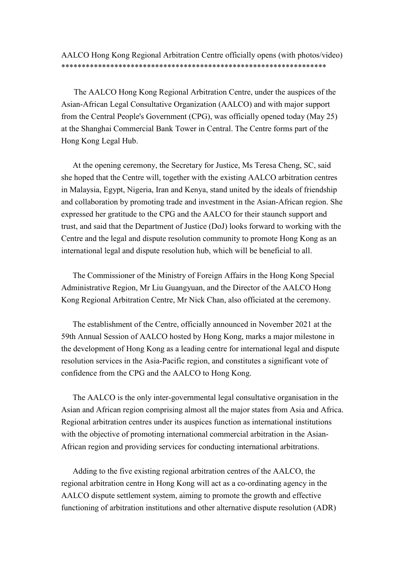AALCO Hong Kong Regional Arbitration Centre officially opens (with photos/video) \*\*\*\*\*\*\*\*\*\*\*\*\*\*\*\*\*\*\*\*\*\*\*\*\*\*\*\*\*\*\*\*\*\*\*\*\*\*\*\*\*\*\*\*\*\*\*\*\*\*\*\*\*\*\*\*\*\*\*\*\*\*\*\*\*

The AALCO Hong Kong Regional Arbitration Centre, under the auspices of the Asian-African Legal Consultative Organization (AALCO) and with major support from the Central People's Government (CPG), was officially opened today (May 25) at the Shanghai Commercial Bank Tower in Central. The Centre forms part of the Hong Kong Legal Hub.

 At the opening ceremony, the Secretary for Justice, Ms Teresa Cheng, SC, said she hoped that the Centre will, together with the existing AALCO arbitration centres in Malaysia, Egypt, Nigeria, Iran and Kenya, stand united by the ideals of friendship and collaboration by promoting trade and investment in the Asian-African region. She expressed her gratitude to the CPG and the AALCO for their staunch support and trust, and said that the Department of Justice (DoJ) looks forward to working with the Centre and the legal and dispute resolution community to promote Hong Kong as an international legal and dispute resolution hub, which will be beneficial to all.

 The Commissioner of the Ministry of Foreign Affairs in the Hong Kong Special Administrative Region, Mr Liu Guangyuan, and the Director of the AALCO Hong Kong Regional Arbitration Centre, Mr Nick Chan, also officiated at the ceremony.

 The establishment of the Centre, officially announced in November 2021 at the 59th Annual Session of AALCO hosted by Hong Kong, marks a major milestone in the development of Hong Kong as a leading centre for international legal and dispute resolution services in the Asia-Pacific region, and constitutes a significant vote of confidence from the CPG and the AALCO to Hong Kong.

 The AALCO is the only inter-governmental legal consultative organisation in the Asian and African region comprising almost all the major states from Asia and Africa. Regional arbitration centres under its auspices function as international institutions with the objective of promoting international commercial arbitration in the Asian-African region and providing services for conducting international arbitrations.

 Adding to the five existing regional arbitration centres of the AALCO, the regional arbitration centre in Hong Kong will act as a co-ordinating agency in the AALCO dispute settlement system, aiming to promote the growth and effective functioning of arbitration institutions and other alternative dispute resolution (ADR)